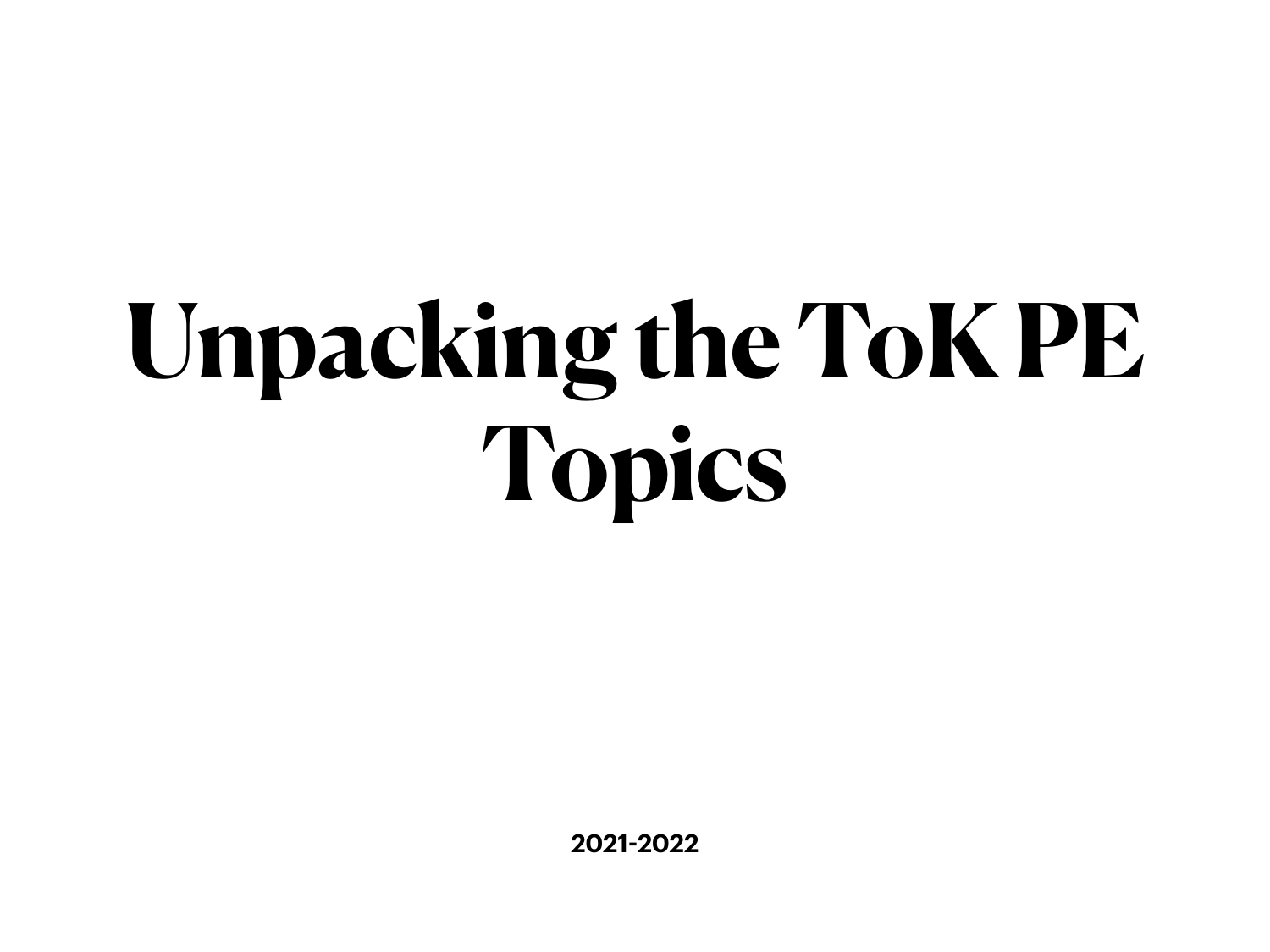# **Unpacking the ToK PE Topics**

**2021-2022**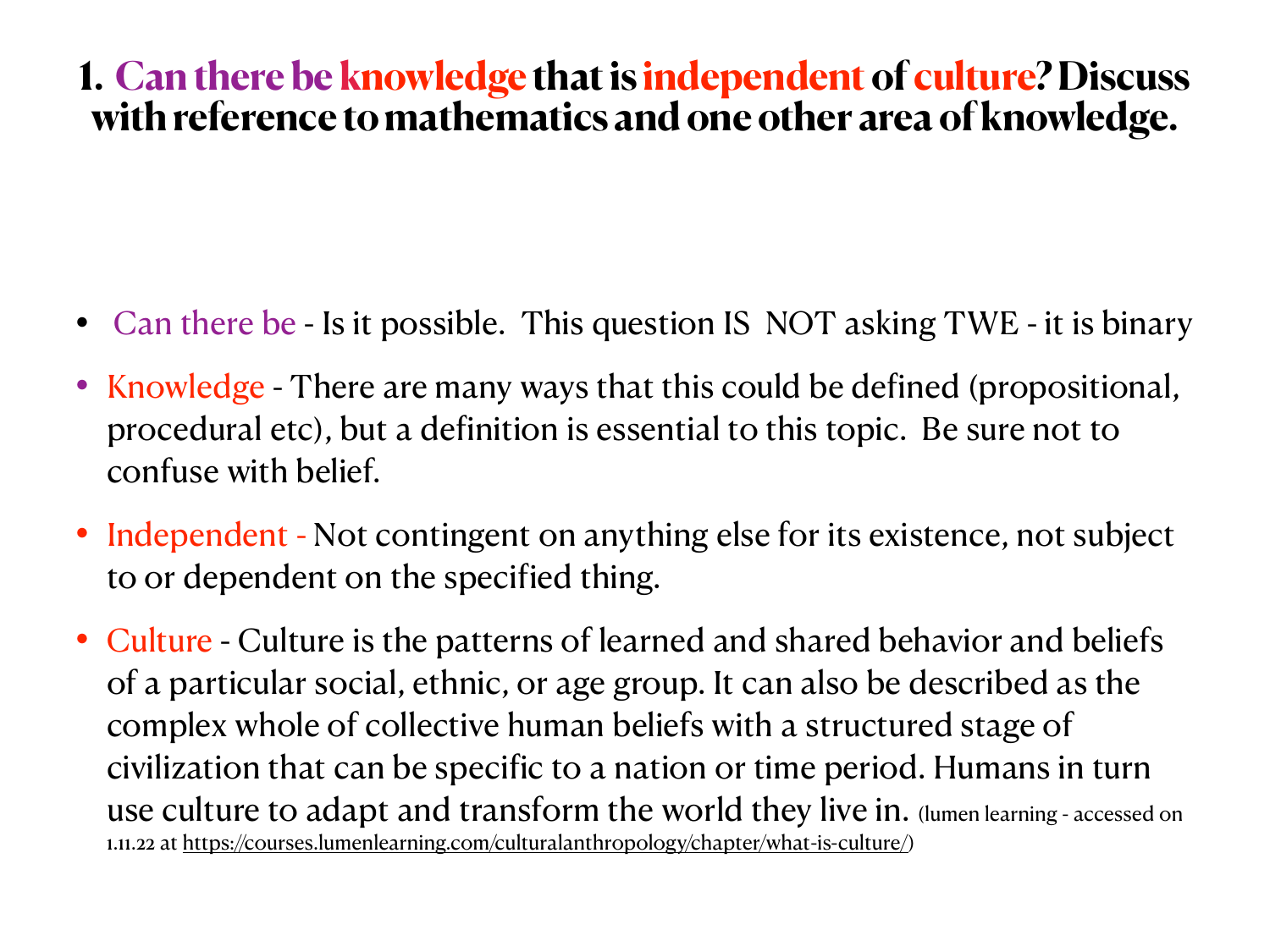### **1. Can there be knowledge that is independent of culture? Discuss with reference to mathematics and one other area of knowledge.**

- Can there be Is it possible. This question IS NOT asking TWE it is binary
- Knowledge There are many ways that this could be defined (propositional, procedural etc), but a definition is essential to this topic. Be sure not to confuse with belief.
- Independent Not contingent on anything else for its existence, not subject to or dependent on the specified thing.
- Culture Culture is the patterns of learned and shared behavior and beliefs of a particular social, ethnic, or age group. It can also be described as the complex whole of collective human beliefs with a structured stage of civilization that can be specific to a nation or time period. Humans in turn use culture to adapt and transform the world they live in. (lumen learning - accessed on 1.11.22 at<https://courses.lumenlearning.com/culturalanthropology/chapter/what-is-culture/>)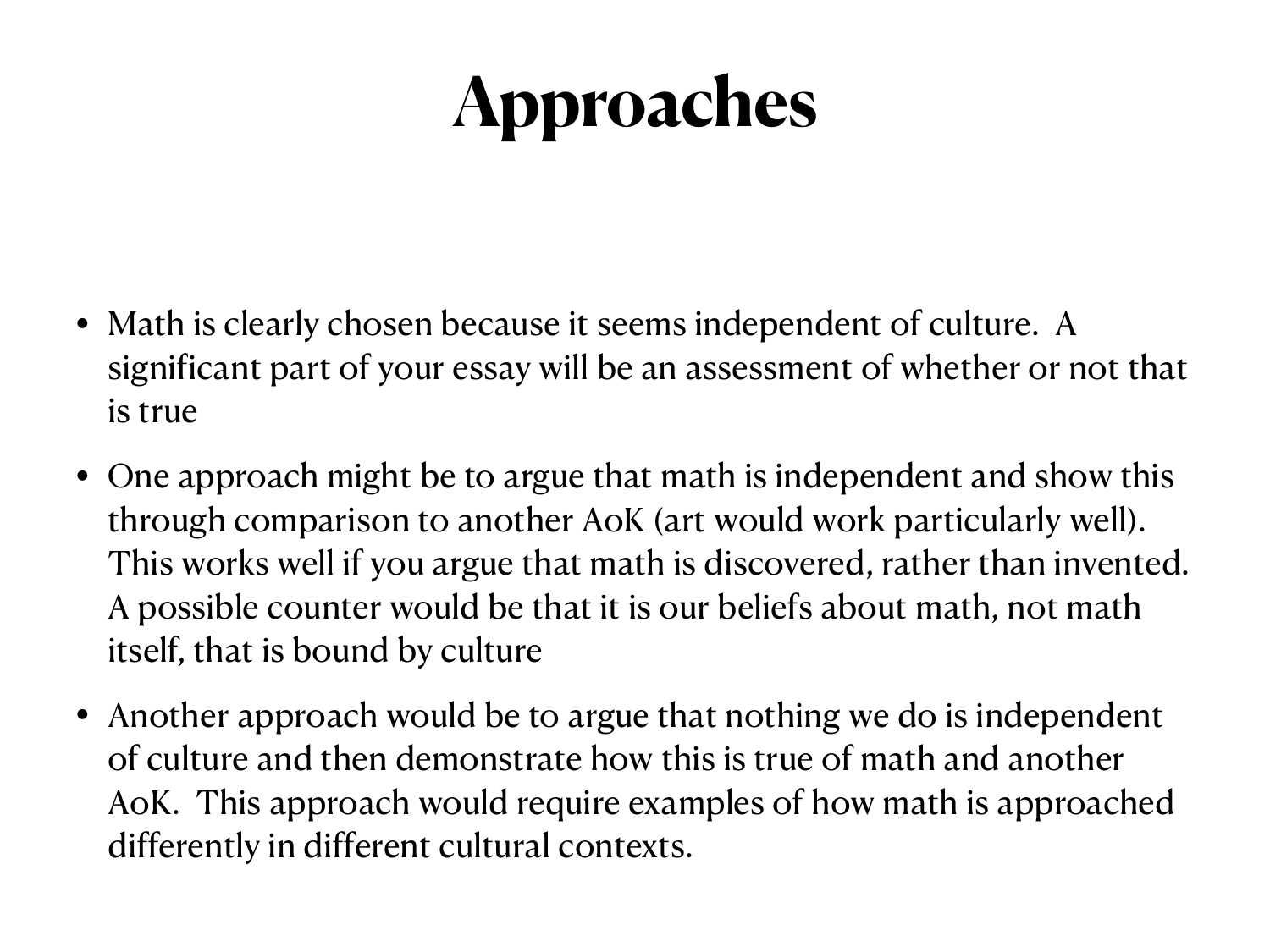- Math is clearly chosen because it seems independent of culture. A significant part of your essay will be an assessment of whether or not that is true
- One approach might be to argue that math is independent and show this through comparison to another AoK (art would work particularly well). This works well if you argue that math is discovered, rather than invented. A possible counter would be that it is our beliefs about math, not math itself, that is bound by culture
- Another approach would be to argue that nothing we do is independent of culture and then demonstrate how this is true of math and another AoK. This approach would require examples of how math is approached differently in different cultural contexts.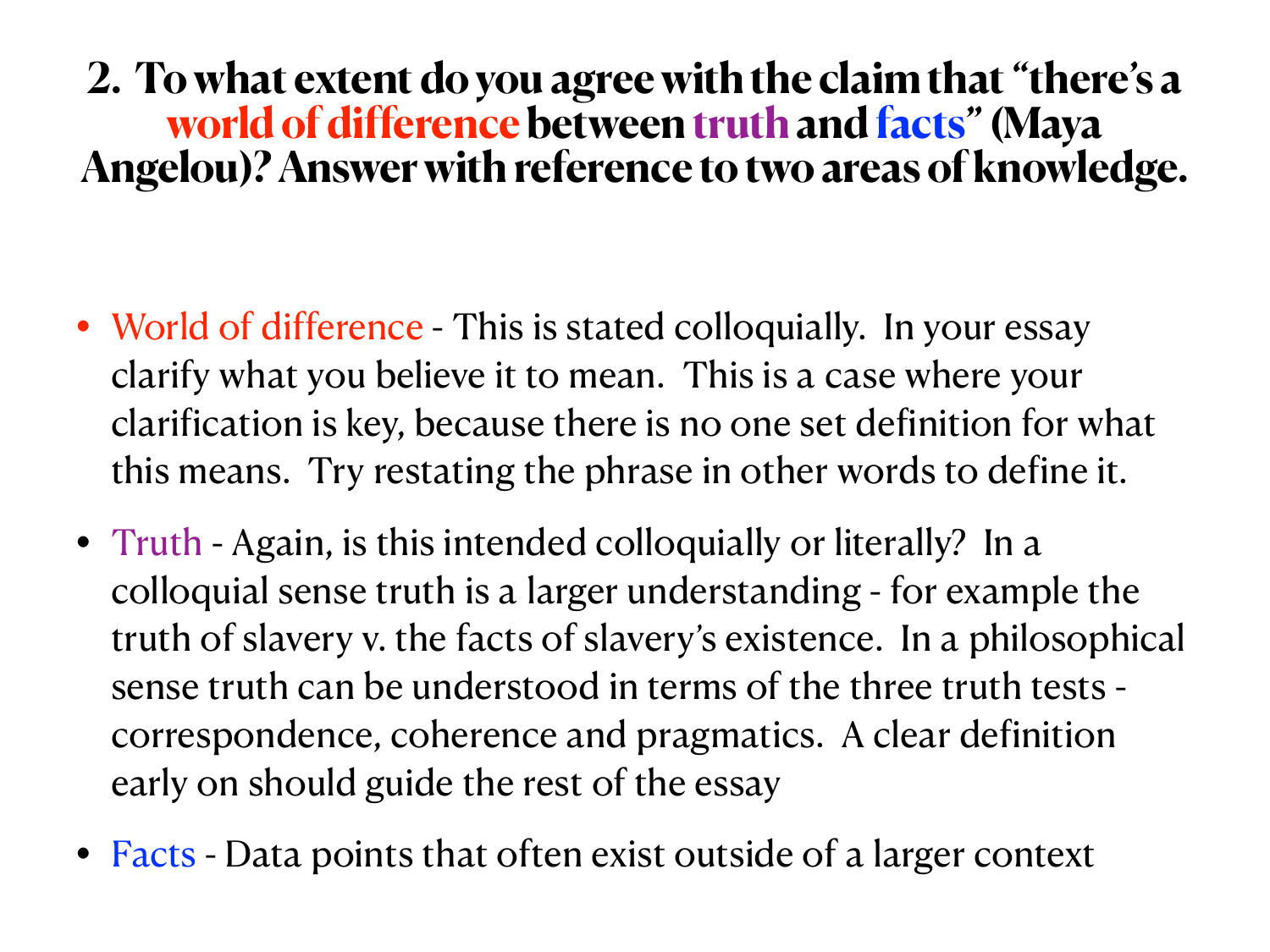### **2. To what extent do you agree with the claim that "there's a world of difference between truth and facts" (Maya Angelou)? Answer with reference to two areas of knowledge.**

- World of difference This is stated colloquially. In your essay clarify what you believe it to mean. This is a case where your clarification is key, because there is no one set definition for what this means. Try restating the phrase in other words to define it.
- Truth Again, is this intended colloquially or literally? In a colloquial sense truth is a larger understanding - for example the truth of slavery v. the facts of slavery's existence. In a philosophical sense truth can be understood in terms of the three truth tests correspondence, coherence and pragmatics. A clear definition early on should guide the rest of the essay
- Facts Data points that often exist outside of a larger context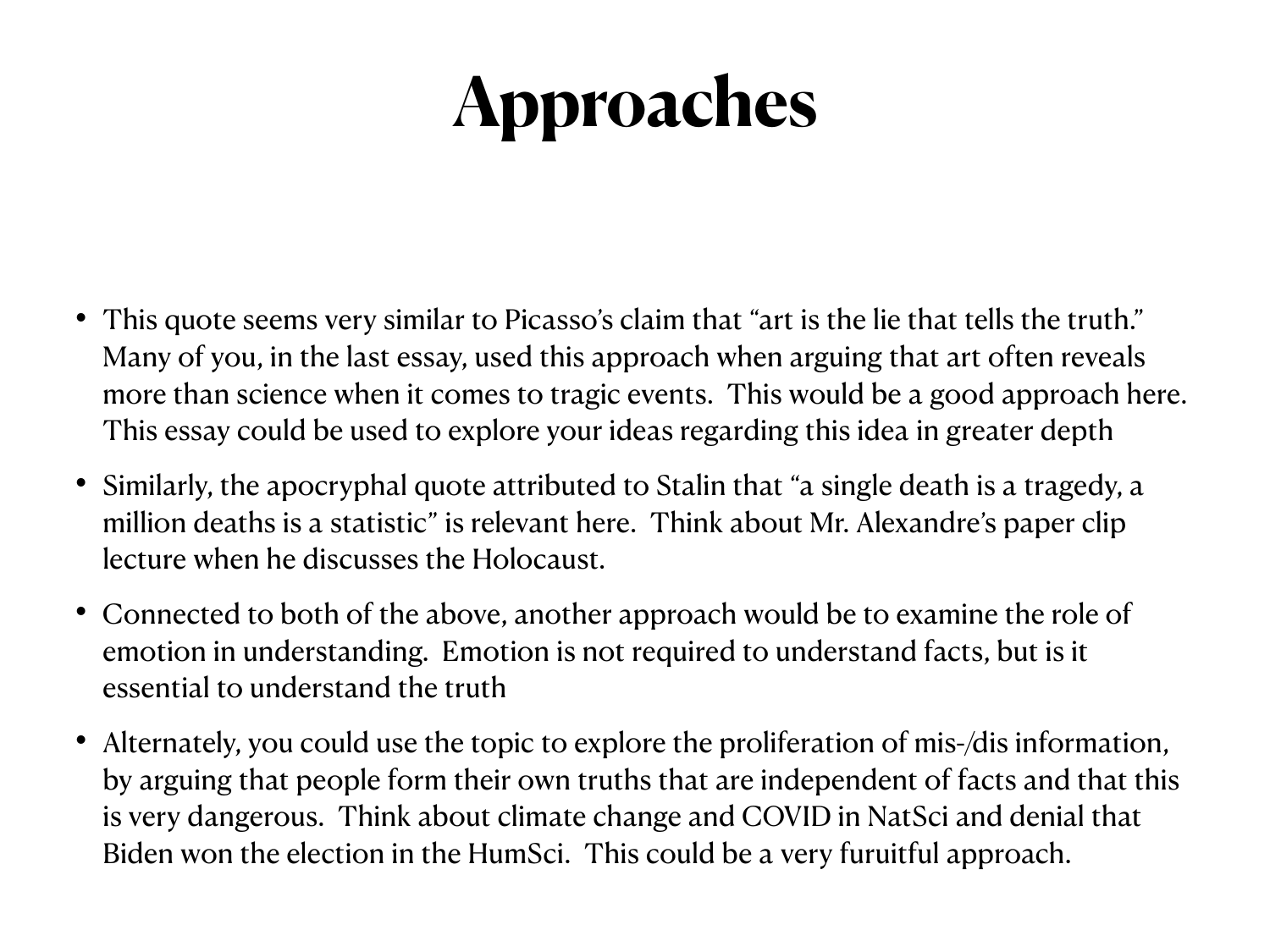- This quote seems very similar to Picasso's claim that "art is the lie that tells the truth." Many of you, in the last essay, used this approach when arguing that art often reveals more than science when it comes to tragic events. This would be a good approach here. This essay could be used to explore your ideas regarding this idea in greater depth
- Similarly, the apocryphal quote attributed to Stalin that "a single death is a tragedy, a million deaths is a statistic" is relevant here. Think about Mr. Alexandre's paper clip lecture when he discusses the Holocaust.
- Connected to both of the above, another approach would be to examine the role of emotion in understanding. Emotion is not required to understand facts, but is it essential to understand the truth
- Alternately, you could use the topic to explore the proliferation of mis-/dis information, by arguing that people form their own truths that are independent of facts and that this is very dangerous. Think about climate change and COVID in NatSci and denial that Biden won the election in the HumSci. This could be a very furuitful approach.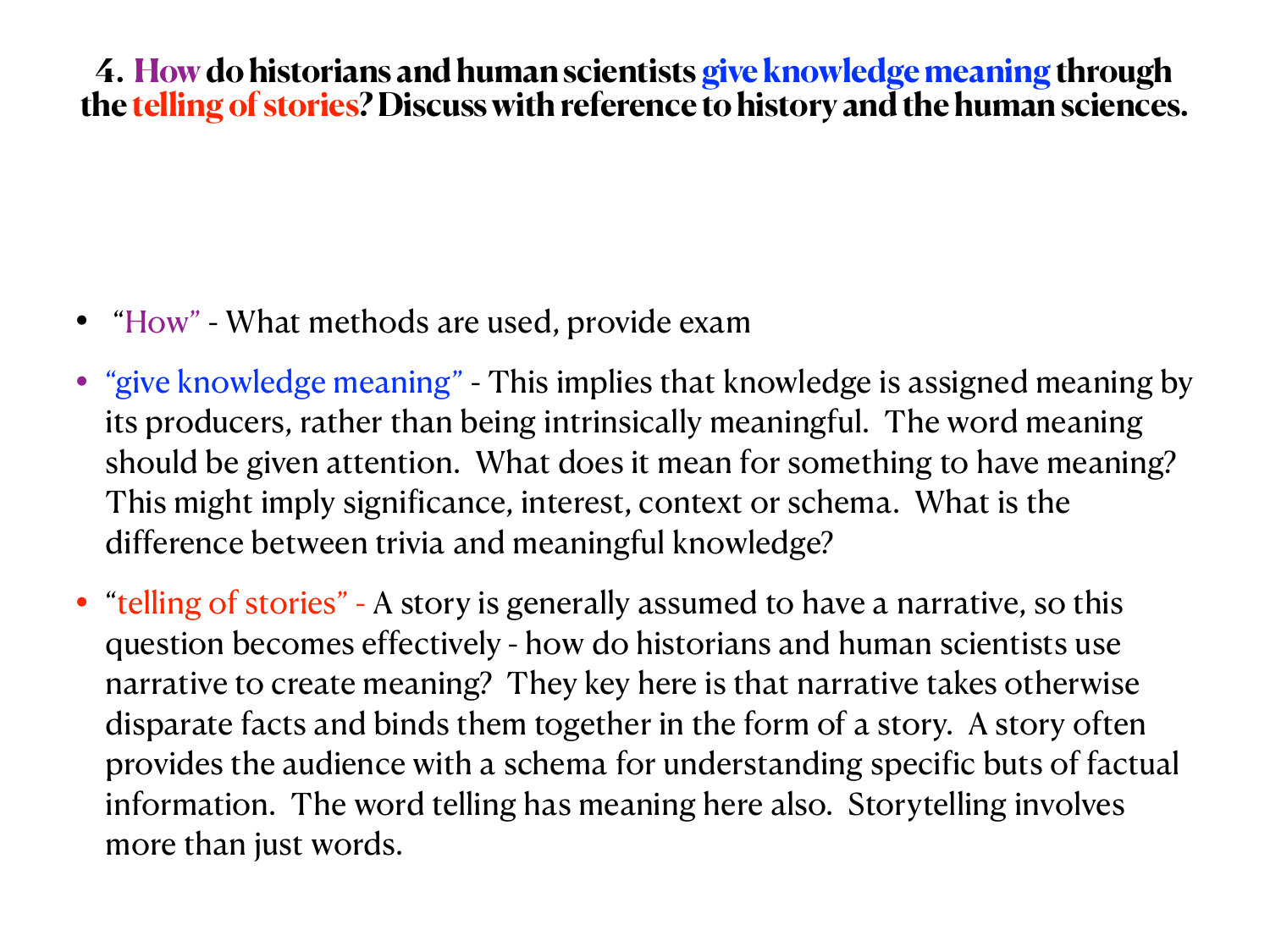#### **4. How do historians and human scientists give knowledge meaning through the telling of stories? Discuss with reference to history and the human sciences.**

- "How" What methods are used, provide exam
- "give knowledge meaning" This implies that knowledge is assigned meaning by its producers, rather than being intrinsically meaningful. The word meaning should be given attention. What does it mean for something to have meaning? This might imply significance, interest, context or schema. What is the difference between trivia and meaningful knowledge?
- "telling of stories" A story is generally assumed to have a narrative, so this question becomes effectively - how do historians and human scientists use narrative to create meaning? They key here is that narrative takes otherwise disparate facts and binds them together in the form of a story. A story often provides the audience with a schema for understanding specific buts of factual information. The word telling has meaning here also. Storytelling involves more than just words.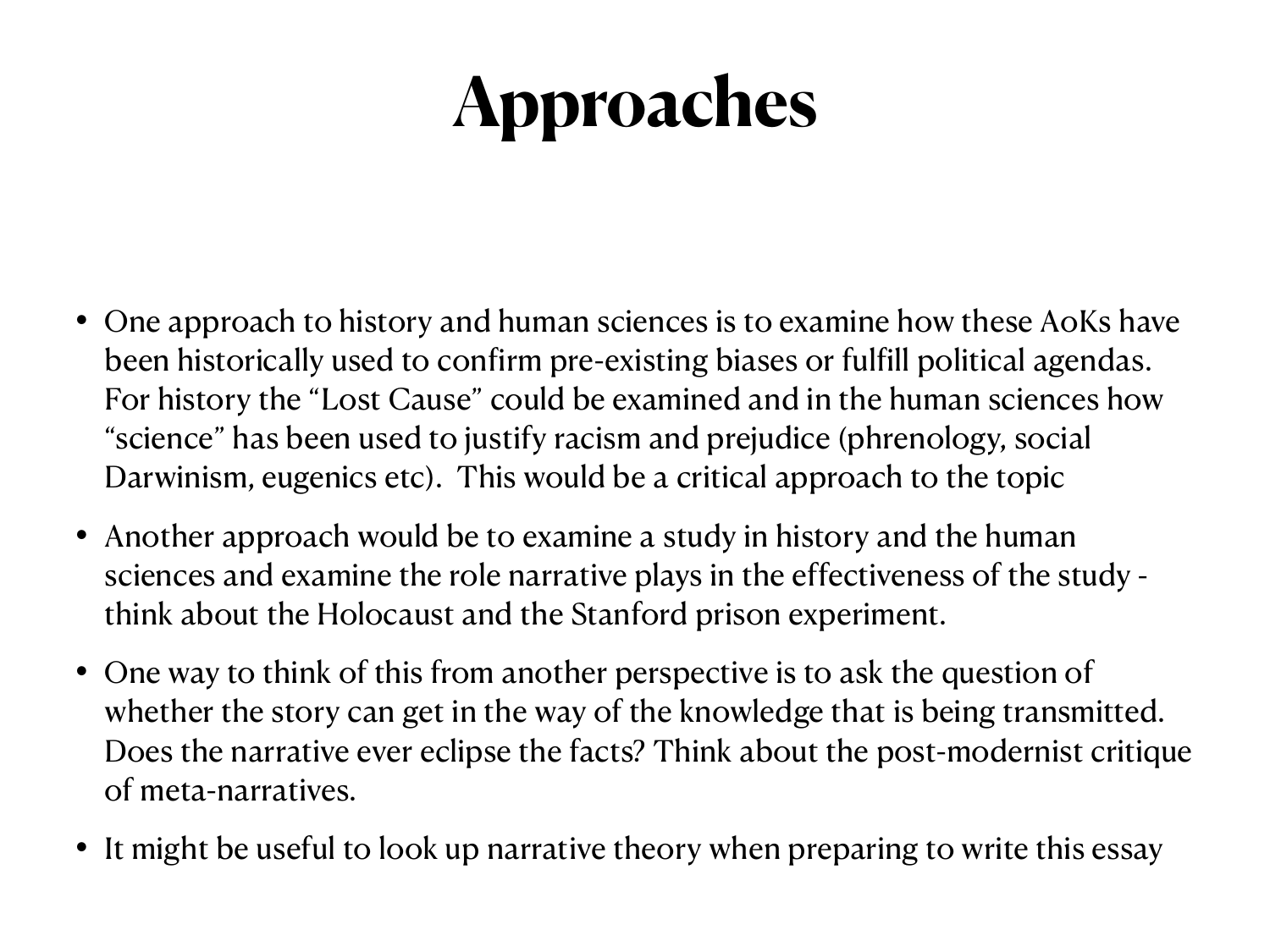- One approach to history and human sciences is to examine how these AoKs have been historically used to confirm pre-existing biases or fulfill political agendas. For history the "Lost Cause" could be examined and in the human sciences how "science" has been used to justify racism and prejudice (phrenology, social Darwinism, eugenics etc). This would be a critical approach to the topic
- Another approach would be to examine a study in history and the human sciences and examine the role narrative plays in the effectiveness of the study think about the Holocaust and the Stanford prison experiment.
- One way to think of this from another perspective is to ask the question of whether the story can get in the way of the knowledge that is being transmitted. Does the narrative ever eclipse the facts? Think about the post-modernist critique of meta-narratives.
- It might be useful to look up narrative theory when preparing to write this essay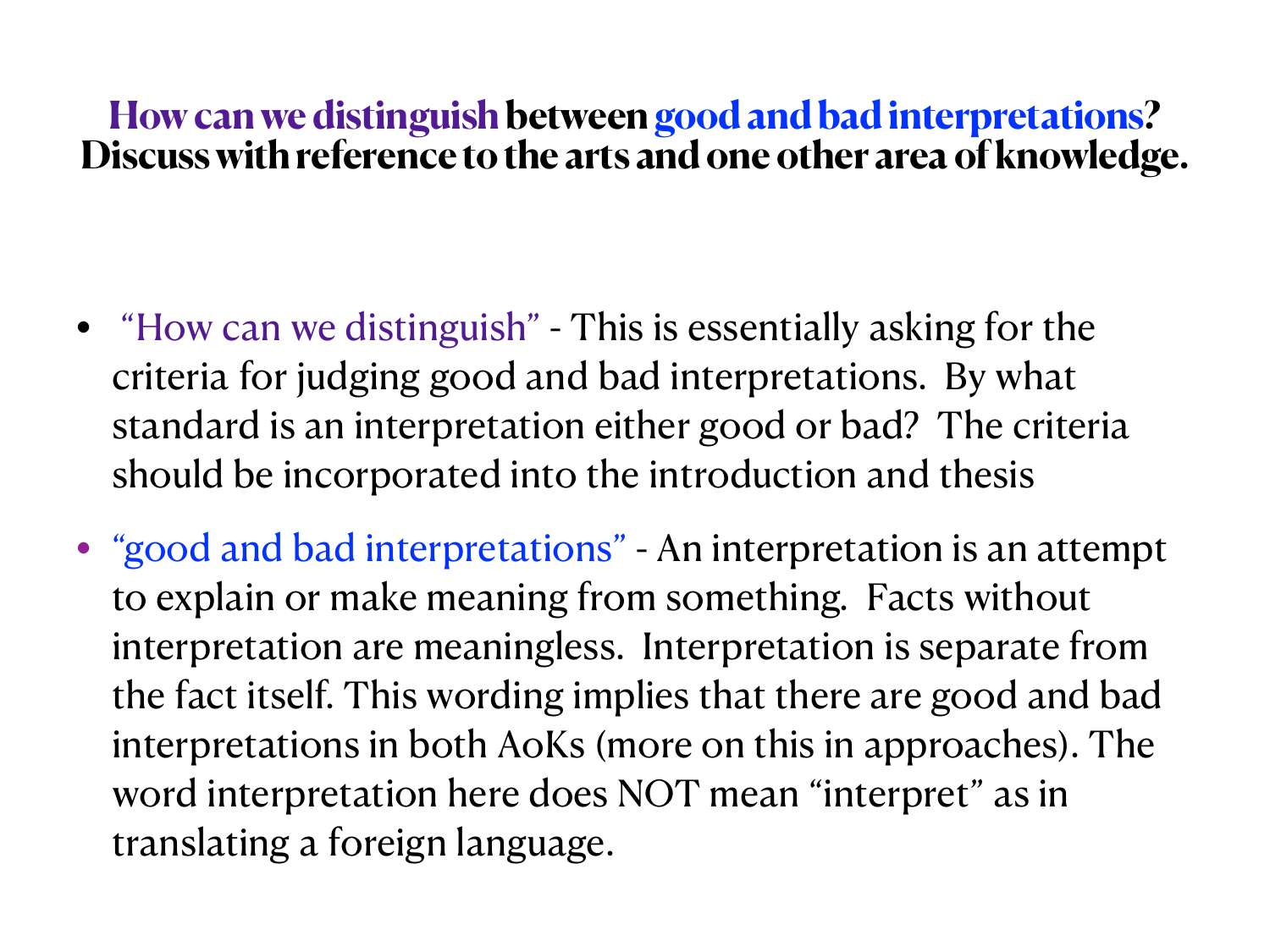### **How can we distinguish between good and bad interpretations? Discuss with reference to the arts and one other area of knowledge.**

- "How can we distinguish" This is essentially asking for the criteria for judging good and bad interpretations. By what standard is an interpretation either good or bad? The criteria should be incorporated into the introduction and thesis
- "good and bad interpretations" An interpretation is an attempt to explain or make meaning from something. Facts without interpretation are meaningless. Interpretation is separate from the fact itself. This wording implies that there are good and bad interpretations in both AoKs (more on this in approaches). The word interpretation here does NOT mean "interpret" as in translating a foreign language.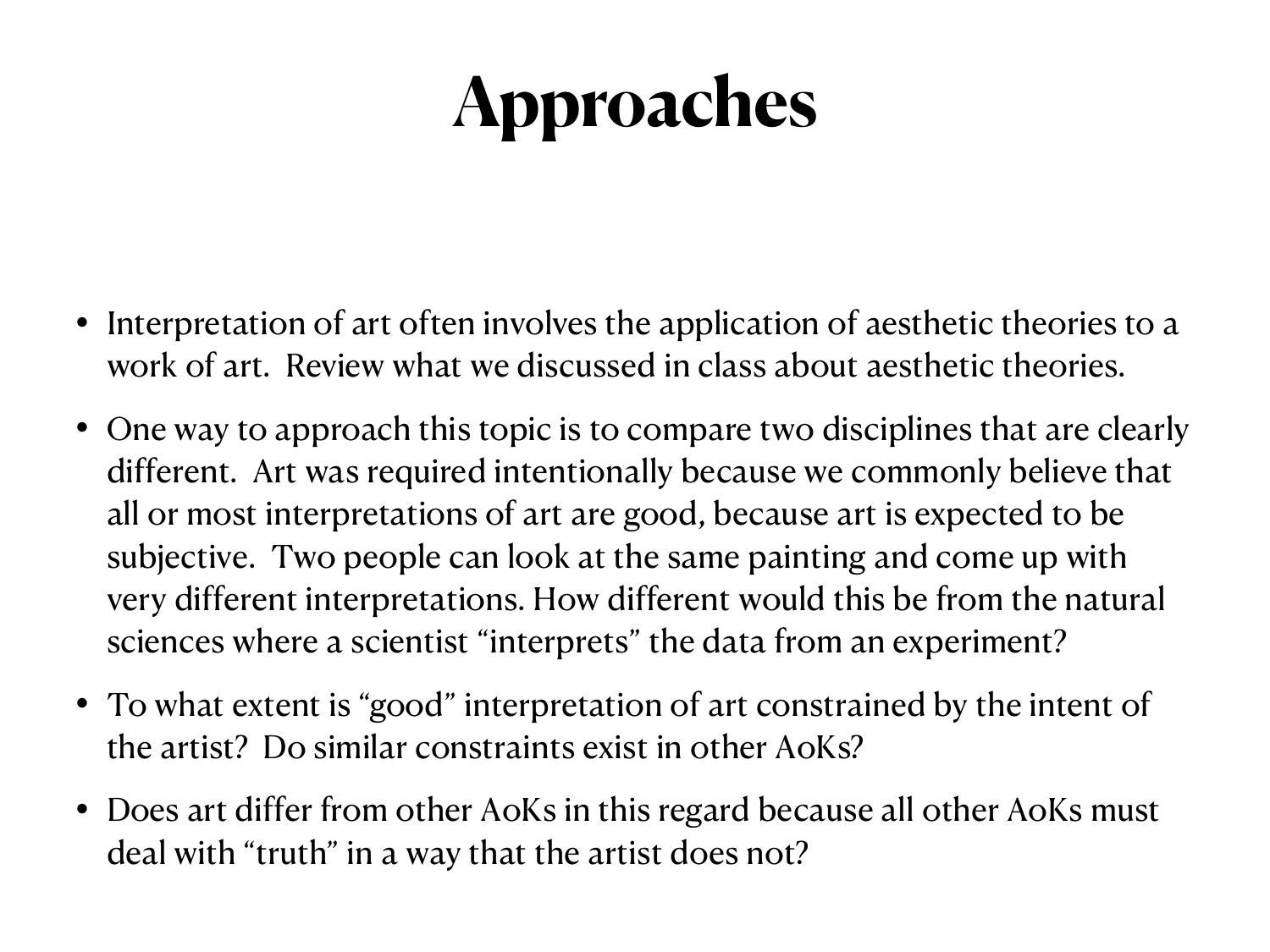- Interpretation of art often involves the application of aesthetic theories to a work of art. Review what we discussed in class about aesthetic theories.
- One way to approach this topic is to compare two disciplines that are clearly different. Art was required intentionally because we commonly believe that all or most interpretations of art are good, because art is expected to be subjective. Two people can look at the same painting and come up with very different interpretations. How different would this be from the natural sciences where a scientist "interprets" the data from an experiment?
- To what extent is "good" interpretation of art constrained by the intent of the artist? Do similar constraints exist in other AoKs?
- Does art differ from other AoKs in this regard because all other AoKs must deal with "truth" in a way that the artist does not?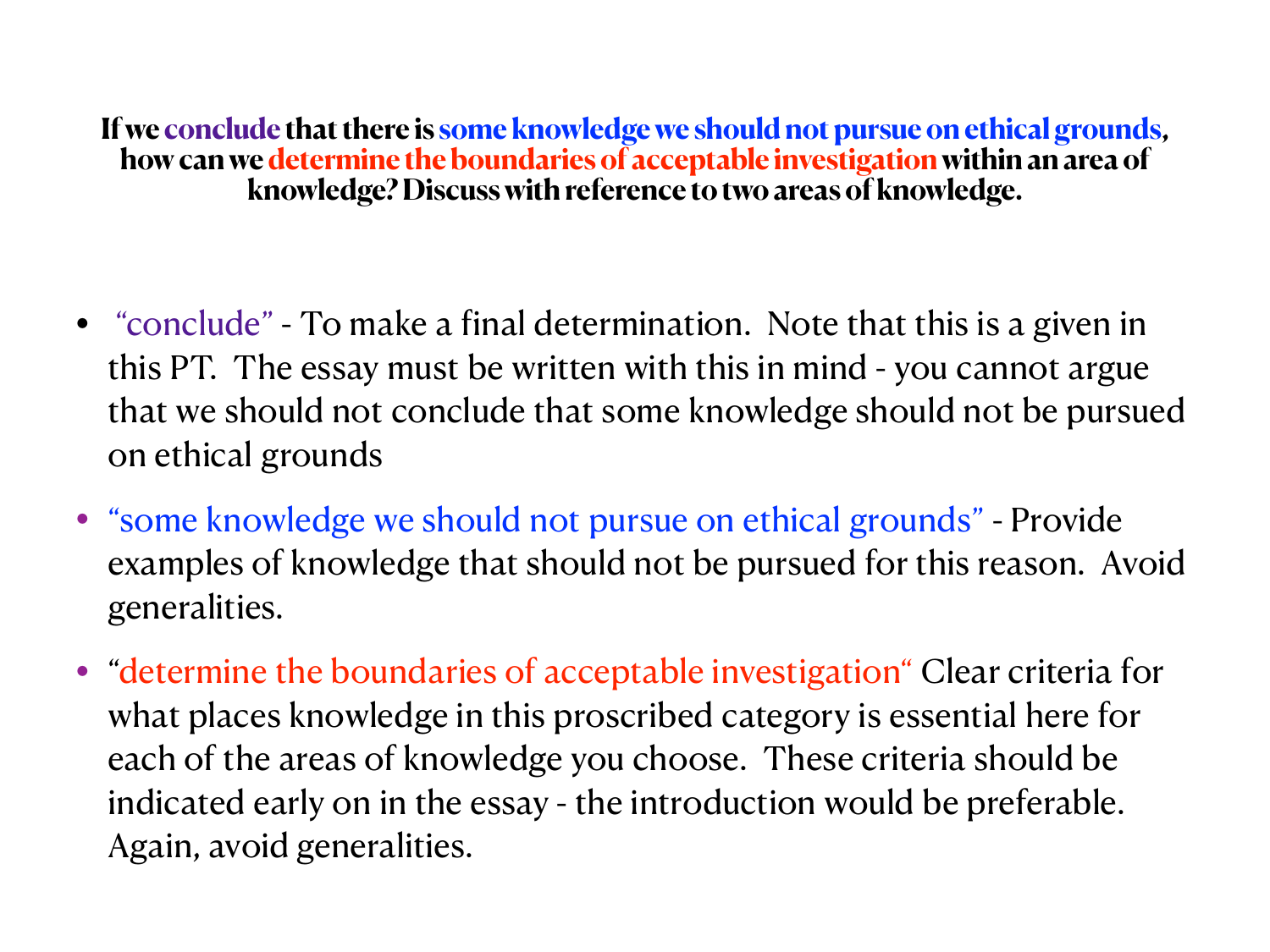**If we conclude that there is some knowledge we should not pursue on ethical grounds, how can we determine the boundaries of acceptable investigation within an area of knowledge? Discuss with reference to two areas of knowledge.** 

- "conclude" To make a final determination. Note that this is a given in this PT. The essay must be written with this in mind - you cannot argue that we should not conclude that some knowledge should not be pursued on ethical grounds
- "some knowledge we should not pursue on ethical grounds" Provide examples of knowledge that should not be pursued for this reason. Avoid generalities.
- "determine the boundaries of acceptable investigation" Clear criteria for what places knowledge in this proscribed category is essential here for each of the areas of knowledge you choose. These criteria should be indicated early on in the essay - the introduction would be preferable. Again, avoid generalities.